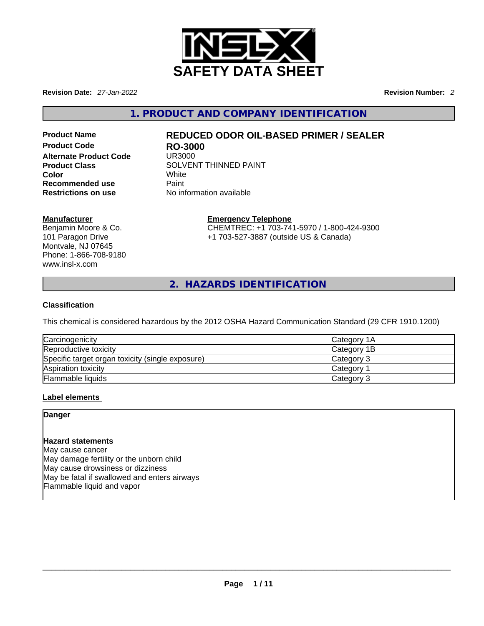

**Revision Date:** *27-Jan-2022* **Revision Number:** *2*

**1. PRODUCT AND COMPANY IDENTIFICATION** 

**Product Code 61 RO-3000**<br>**Alternate Product Code 61 UR3000 Alternate Product Code**<br>Product Class **Color** White **Recommended use** Paint<br> **Restrictions on use** No inf

# **Product Name REDUCED ODOR OIL-BASED PRIMER / SEALER**

**Product Class** SOLVENT THINNED PAINT **Restrictions on use** No information available

# **Manufacturer**

Benjamin Moore & Co. 101 Paragon Drive Montvale, NJ 07645 Phone: 1-866-708-9180 www.insl-x.com

### **Emergency Telephone**

CHEMTREC: +1 703-741-5970 / 1-800-424-9300 +1 703-527-3887 (outside US & Canada)

**2. HAZARDS IDENTIFICATION** 

# **Classification**

This chemical is considered hazardous by the 2012 OSHA Hazard Communication Standard (29 CFR 1910.1200)

| Carcinogenicity                                  | Category 1A |
|--------------------------------------------------|-------------|
| Reproductive toxicity                            | Category 1B |
| Specific target organ toxicity (single exposure) | Category 3  |
| Aspiration toxicity                              | Category    |
| Flammable liquids                                | Category 3  |

# **Label elements**

# **Danger**

### **Hazard statements**

May cause cancer May damage fertility or the unborn child May cause drowsiness or dizziness May be fatal if swallowed and enters airways Flammable liquid and vapor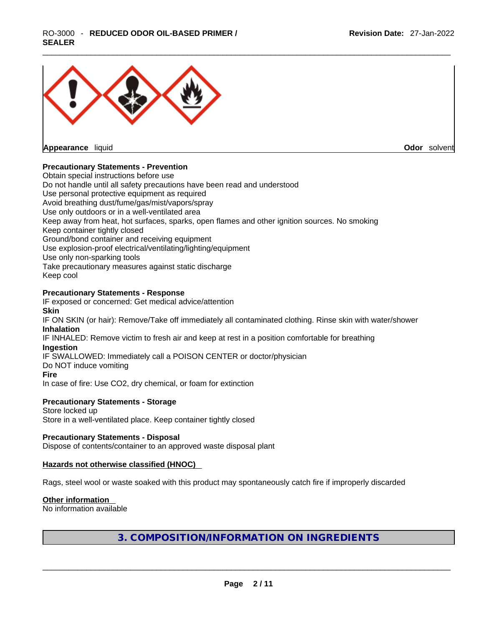

**Appearance** liquid

**Odor** solvent

# **Precautionary Statements - Prevention**

Obtain special instructions before use Do not handle until all safety precautions have been read and understood Use personal protective equipment as required Avoid breathing dust/fume/gas/mist/vapors/spray Use only outdoors or in a well-ventilated area Keep away from heat, hot surfaces, sparks, open flames and other ignition sources. No smoking Keep container tightly closed Ground/bond container and receiving equipment Use explosion-proof electrical/ventilating/lighting/equipment Use only non-sparking tools Take precautionary measures against static discharge Keep cool

### **Precautionary Statements - Response**

IF exposed or concerned: Get medical advice/attention **Skin** IF ON SKIN (or hair): Remove/Take off immediately all contaminated clothing. Rinse skin with water/shower **Inhalation** IF INHALED: Remove victim to fresh air and keep at rest in a position comfortable for breathing **Ingestion** IF SWALLOWED: Immediately call a POISON CENTER or doctor/physician Do NOT induce vomiting **Fire** In case of fire: Use CO2, dry chemical, or foam for extinction

# **Precautionary Statements - Storage**

Store locked up Store in a well-ventilated place. Keep container tightly closed

**Precautionary Statements - Disposal**

Dispose of contents/container to an approved waste disposal plant

# **Hazards not otherwise classified (HNOC)**

Rags, steel wool or waste soaked with this product may spontaneously catch fire if improperly discarded

### **Other information**

No information available

**3. COMPOSITION/INFORMATION ON INGREDIENTS**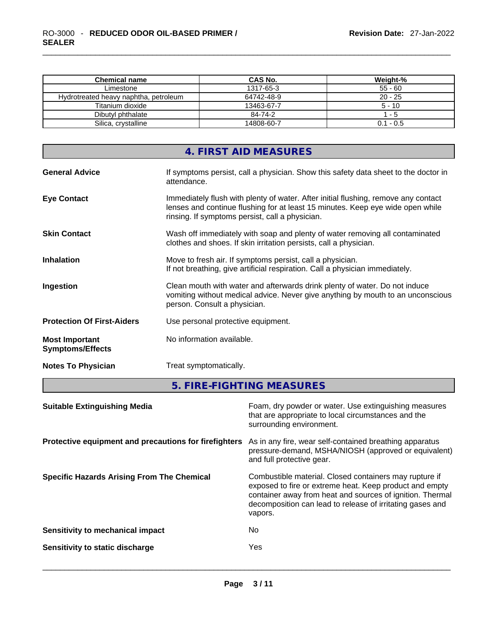| <b>Chemical name</b>                  | CAS No.    | Weight-%    |
|---------------------------------------|------------|-------------|
| Limestone                             | 1317-65-3  | $55 - 60$   |
| Hydrotreated heavy naphtha, petroleum | 64742-48-9 | $20 - 25$   |
| Titanium dioxide                      | 13463-67-7 | $5 - 10$    |
| Dibutyl phthalate                     | 84-74-2    | - 5         |
| Silica, crystalline                   | 14808-60-7 | $0.1 - 0.5$ |

| If symptoms persist, call a physician. Show this safety data sheet to the doctor in<br><b>General Advice</b><br>attendance.<br><b>Eye Contact</b><br>Immediately flush with plenty of water. After initial flushing, remove any contact<br>lenses and continue flushing for at least 15 minutes. Keep eye wide open while<br>rinsing. If symptoms persist, call a physician.<br><b>Skin Contact</b><br>Wash off immediately with soap and plenty of water removing all contaminated<br>clothes and shoes. If skin irritation persists, call a physician.<br>Move to fresh air. If symptoms persist, call a physician.<br><b>Inhalation</b><br>If not breathing, give artificial respiration. Call a physician immediately.<br>Clean mouth with water and afterwards drink plenty of water. Do not induce<br>Ingestion<br>vomiting without medical advice. Never give anything by mouth to an unconscious<br>person. Consult a physician.<br><b>Protection Of First-Aiders</b><br>Use personal protective equipment.<br>No information available.<br><b>Most Important</b><br><b>Symptoms/Effects</b><br><b>Notes To Physician</b><br>Treat symptomatically. | 4. FIRST AID MEASURES |
|-------------------------------------------------------------------------------------------------------------------------------------------------------------------------------------------------------------------------------------------------------------------------------------------------------------------------------------------------------------------------------------------------------------------------------------------------------------------------------------------------------------------------------------------------------------------------------------------------------------------------------------------------------------------------------------------------------------------------------------------------------------------------------------------------------------------------------------------------------------------------------------------------------------------------------------------------------------------------------------------------------------------------------------------------------------------------------------------------------------------------------------------------------------|-----------------------|
|                                                                                                                                                                                                                                                                                                                                                                                                                                                                                                                                                                                                                                                                                                                                                                                                                                                                                                                                                                                                                                                                                                                                                             |                       |
|                                                                                                                                                                                                                                                                                                                                                                                                                                                                                                                                                                                                                                                                                                                                                                                                                                                                                                                                                                                                                                                                                                                                                             |                       |
|                                                                                                                                                                                                                                                                                                                                                                                                                                                                                                                                                                                                                                                                                                                                                                                                                                                                                                                                                                                                                                                                                                                                                             |                       |
|                                                                                                                                                                                                                                                                                                                                                                                                                                                                                                                                                                                                                                                                                                                                                                                                                                                                                                                                                                                                                                                                                                                                                             |                       |
|                                                                                                                                                                                                                                                                                                                                                                                                                                                                                                                                                                                                                                                                                                                                                                                                                                                                                                                                                                                                                                                                                                                                                             |                       |
|                                                                                                                                                                                                                                                                                                                                                                                                                                                                                                                                                                                                                                                                                                                                                                                                                                                                                                                                                                                                                                                                                                                                                             |                       |
|                                                                                                                                                                                                                                                                                                                                                                                                                                                                                                                                                                                                                                                                                                                                                                                                                                                                                                                                                                                                                                                                                                                                                             |                       |
|                                                                                                                                                                                                                                                                                                                                                                                                                                                                                                                                                                                                                                                                                                                                                                                                                                                                                                                                                                                                                                                                                                                                                             |                       |

**5. FIRE-FIGHTING MEASURES** 

| <b>Suitable Extinguishing Media</b>                   | Foam, dry powder or water. Use extinguishing measures<br>that are appropriate to local circumstances and the<br>surrounding environment.                                                                                                               |
|-------------------------------------------------------|--------------------------------------------------------------------------------------------------------------------------------------------------------------------------------------------------------------------------------------------------------|
| Protective equipment and precautions for firefighters | As in any fire, wear self-contained breathing apparatus<br>pressure-demand, MSHA/NIOSH (approved or equivalent)<br>and full protective gear.                                                                                                           |
| <b>Specific Hazards Arising From The Chemical</b>     | Combustible material. Closed containers may rupture if<br>exposed to fire or extreme heat. Keep product and empty<br>container away from heat and sources of ignition. Thermal<br>decomposition can lead to release of irritating gases and<br>vapors. |
| Sensitivity to mechanical impact                      | No.                                                                                                                                                                                                                                                    |
| Sensitivity to static discharge                       | Yes                                                                                                                                                                                                                                                    |
|                                                       |                                                                                                                                                                                                                                                        |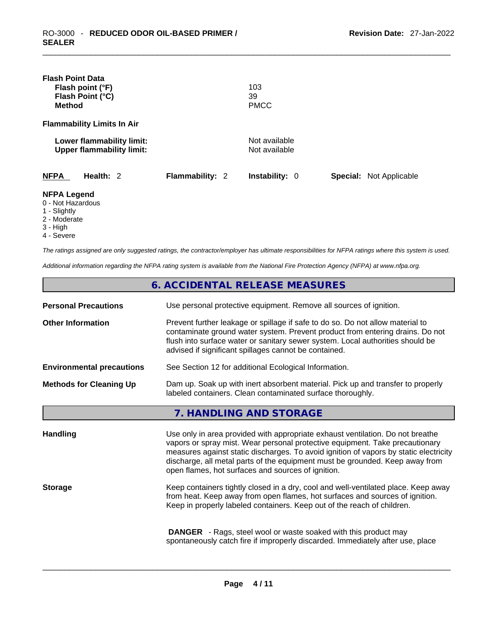| <b>Flash Point Data</b><br><b>Method</b>                                                            | Flash point (°F)<br>Flash Point (°C) |                                                               |                 | 103<br>39<br><b>PMCC</b>       |                                |
|-----------------------------------------------------------------------------------------------------|--------------------------------------|---------------------------------------------------------------|-----------------|--------------------------------|--------------------------------|
| <b>Flammability Limits In Air</b>                                                                   |                                      |                                                               |                 |                                |                                |
|                                                                                                     |                                      | Lower flammability limit:<br><b>Upper flammability limit:</b> |                 | Not available<br>Not available |                                |
| <b>NFPA</b>                                                                                         | Health: 2                            |                                                               | Flammability: 2 | <b>Instability: 0</b>          | <b>Special: Not Applicable</b> |
| <b>NFPA Legend</b><br>0 - Not Hazardous<br>1 - Slightly<br>2 - Moderate<br>$3 - High$<br>4 - Severe |                                      |                                                               |                 |                                |                                |

*The ratings assigned are only suggested ratings, the contractor/employer has ultimate responsibilities for NFPA ratings where this system is used.* 

*Additional information regarding the NFPA rating system is available from the National Fire Protection Agency (NFPA) at www.nfpa.org.* 

|                                  | 6. ACCIDENTAL RELEASE MEASURES                                                                                                                                                                                                                                                                                                                                                                |
|----------------------------------|-----------------------------------------------------------------------------------------------------------------------------------------------------------------------------------------------------------------------------------------------------------------------------------------------------------------------------------------------------------------------------------------------|
| <b>Personal Precautions</b>      | Use personal protective equipment. Remove all sources of ignition.                                                                                                                                                                                                                                                                                                                            |
| <b>Other Information</b>         | Prevent further leakage or spillage if safe to do so. Do not allow material to<br>contaminate ground water system. Prevent product from entering drains. Do not<br>flush into surface water or sanitary sewer system. Local authorities should be<br>advised if significant spillages cannot be contained.                                                                                    |
| <b>Environmental precautions</b> | See Section 12 for additional Ecological Information.                                                                                                                                                                                                                                                                                                                                         |
| <b>Methods for Cleaning Up</b>   | Dam up. Soak up with inert absorbent material. Pick up and transfer to properly<br>labeled containers. Clean contaminated surface thoroughly.                                                                                                                                                                                                                                                 |
|                                  | 7. HANDLING AND STORAGE                                                                                                                                                                                                                                                                                                                                                                       |
| <b>Handling</b>                  | Use only in area provided with appropriate exhaust ventilation. Do not breathe<br>vapors or spray mist. Wear personal protective equipment. Take precautionary<br>measures against static discharges. To avoid ignition of vapors by static electricity<br>discharge, all metal parts of the equipment must be grounded. Keep away from<br>open flames, hot surfaces and sources of ignition. |
| <b>Storage</b>                   | Keep containers tightly closed in a dry, cool and well-ventilated place. Keep away<br>from heat. Keep away from open flames, hot surfaces and sources of ignition.<br>Keep in properly labeled containers. Keep out of the reach of children.                                                                                                                                                 |
|                                  | <b>DANGER</b> - Rags, steel wool or waste soaked with this product may<br>spontaneously catch fire if improperly discarded. Immediately after use, place                                                                                                                                                                                                                                      |
|                                  |                                                                                                                                                                                                                                                                                                                                                                                               |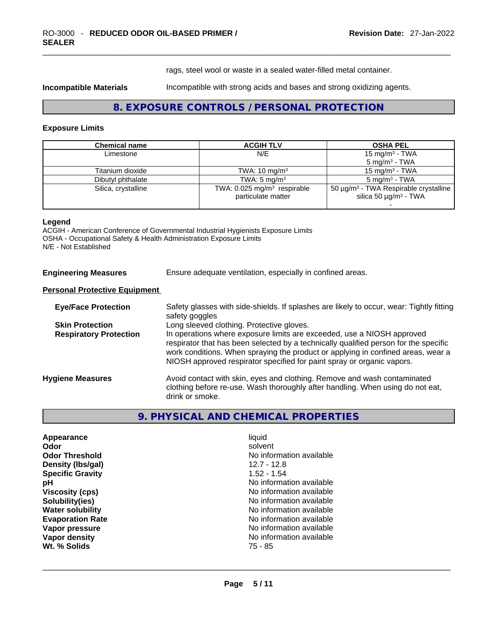rags, steel wool or waste in a sealed water-filled metal container.

**Incompatible Materials Incompatible** with strong acids and bases and strong oxidizing agents.

# **8. EXPOSURE CONTROLS / PERSONAL PROTECTION**

### **Exposure Limits**

| <b>Chemical name</b> | <b>ACGIH TLV</b>                                                | <b>OSHA PEL</b>                                                                                  |
|----------------------|-----------------------------------------------------------------|--------------------------------------------------------------------------------------------------|
| Limestone            | N/E                                                             | 15 mg/m $3$ - TWA                                                                                |
|                      |                                                                 | $5 \text{ mg/m}^3$ - TWA                                                                         |
| Titanium dioxide     | TWA: $10 \text{ mg/m}^3$                                        | 15 mg/m $3$ - TWA                                                                                |
| Dibutyl phthalate    | TWA: $5 \text{ mg/m}^3$                                         | $5 \text{ mg/m}^3$ - TWA                                                                         |
| Silica, crystalline  | TWA: $0.025$ mg/m <sup>3</sup> respirable<br>particulate matter | 50 $\mu$ g/m <sup>3</sup> - TWA Respirable crystalline<br>silica 50 $\mu$ g/m <sup>3</sup> - TWA |
|                      |                                                                 |                                                                                                  |

### **Legend**

ACGIH - American Conference of Governmental Industrial Hygienists Exposure Limits OSHA - Occupational Safety & Health Administration Exposure Limits N/E - Not Established

**Engineering Measures** Ensure adequate ventilation, especially in confined areas.

### **Personal Protective Equipment**

| <b>Eye/Face Protection</b>    | Safety glasses with side-shields. If splashes are likely to occur, wear: Tightly fitting                                                                                                                                                           |
|-------------------------------|----------------------------------------------------------------------------------------------------------------------------------------------------------------------------------------------------------------------------------------------------|
|                               | safety goggles                                                                                                                                                                                                                                     |
| <b>Skin Protection</b>        | Long sleeved clothing. Protective gloves.                                                                                                                                                                                                          |
| <b>Respiratory Protection</b> | In operations where exposure limits are exceeded, use a NIOSH approved                                                                                                                                                                             |
|                               | respirator that has been selected by a technically qualified person for the specific<br>work conditions. When spraying the product or applying in confined areas, wear a<br>NIOSH approved respirator specified for paint spray or organic vapors. |
| <b>Hygiene Measures</b>       | Avoid contact with skin, eyes and clothing. Remove and wash contaminated                                                                                                                                                                           |
|                               | clothing before re-use. Wash thoroughly after handling. When using do not eat,<br>drink or smoke.                                                                                                                                                  |

# **9. PHYSICAL AND CHEMICAL PROPERTIES**

| Appearance              | liquid                   |  |
|-------------------------|--------------------------|--|
| Odor                    | solvent                  |  |
| <b>Odor Threshold</b>   | No information available |  |
| Density (Ibs/gal)       | $12.7 - 12.8$            |  |
| <b>Specific Gravity</b> | $1.52 - 1.54$            |  |
| рH                      | No information available |  |
| <b>Viscosity (cps)</b>  | No information available |  |
| Solubility(ies)         | No information available |  |
| <b>Water solubility</b> | No information available |  |
| <b>Evaporation Rate</b> | No information available |  |
| Vapor pressure          | No information available |  |
| Vapor density           | No information available |  |
| Wt. % Solids            | $75 - 85$                |  |
|                         |                          |  |
|                         |                          |  |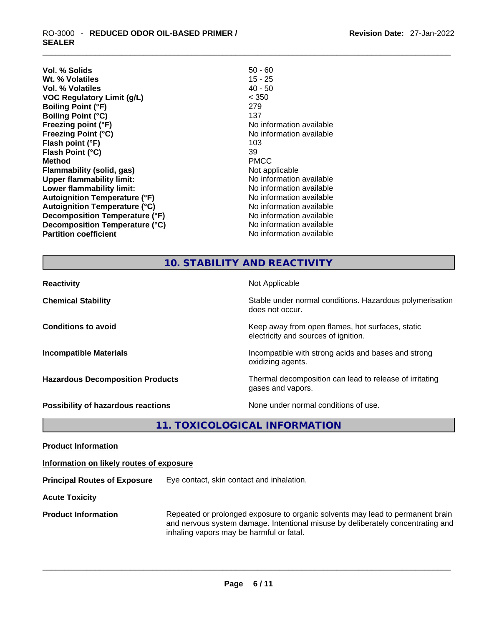### \_\_\_\_\_\_\_\_\_\_\_\_\_\_\_\_\_\_\_\_\_\_\_\_\_\_\_\_\_\_\_\_\_\_\_\_\_\_\_\_\_\_\_\_\_\_\_\_\_\_\_\_\_\_\_\_\_\_\_\_\_\_\_\_\_\_\_\_\_\_\_\_\_\_\_\_\_\_\_\_\_\_\_\_\_\_\_\_\_\_\_\_\_ RO-3000 - **REDUCED ODOR OIL-BASED PRIMER / SEALER**

| Vol. % Solids                        | $50 - 60$                |
|--------------------------------------|--------------------------|
| Wt. % Volatiles                      | 15 - 25                  |
| Vol. % Volatiles                     | $40 - 50$                |
| <b>VOC Regulatory Limit (g/L)</b>    | < 350                    |
| <b>Boiling Point (°F)</b>            | 279                      |
| <b>Boiling Point (°C)</b>            | 137                      |
| Freezing point (°F)                  | No information available |
| <b>Freezing Point (°C)</b>           | No information available |
| Flash point (°F)                     | 103                      |
| Flash Point (°C)                     | 39                       |
| <b>Method</b>                        | <b>PMCC</b>              |
| Flammability (solid, gas)            | Not applicable           |
| <b>Upper flammability limit:</b>     | No information available |
| Lower flammability limit:            | No information available |
| <b>Autoignition Temperature (°F)</b> | No information available |
| <b>Autoignition Temperature (°C)</b> | No information available |
| Decomposition Temperature (°F)       | No information available |
| Decomposition Temperature (°C)       | No information available |
| <b>Partition coefficient</b>         | No information available |

# **10. STABILITY AND REACTIVITY**

| <b>Reactivity</b>                         | Not Applicable                                                                           |
|-------------------------------------------|------------------------------------------------------------------------------------------|
| <b>Chemical Stability</b>                 | Stable under normal conditions. Hazardous polymerisation<br>does not occur.              |
| <b>Conditions to avoid</b>                | Keep away from open flames, hot surfaces, static<br>electricity and sources of ignition. |
| <b>Incompatible Materials</b>             | Incompatible with strong acids and bases and strong<br>oxidizing agents.                 |
| <b>Hazardous Decomposition Products</b>   | Thermal decomposition can lead to release of irritating<br>gases and vapors.             |
| <b>Possibility of hazardous reactions</b> | None under normal conditions of use.                                                     |

**11. TOXICOLOGICAL INFORMATION** 

**Product Information Information on likely routes of exposure Principal Routes of Exposure** Eye contact, skin contact and inhalation. **Acute Toxicity Product Information** Repeated or prolonged exposure to organic solvents may lead to permanent brain and nervous system damage. Intentional misuse by deliberately concentrating and inhaling vapors may be harmful or fatal.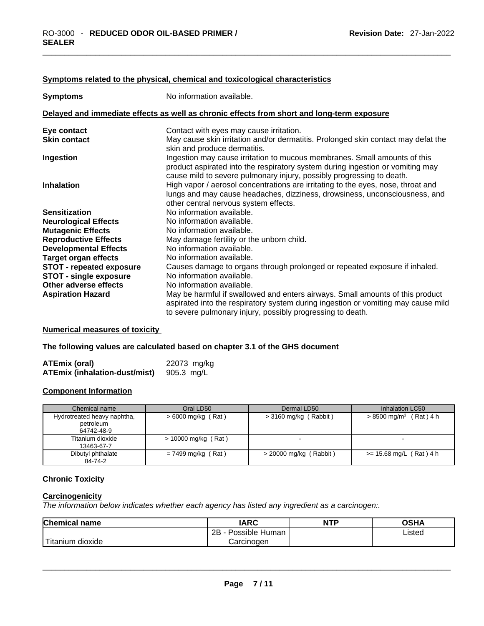### **Symptoms related to the physical,chemical and toxicological characteristics**

| <b>Symptoms</b>                 | No information available.                                                                                                                                                                                                            |  |
|---------------------------------|--------------------------------------------------------------------------------------------------------------------------------------------------------------------------------------------------------------------------------------|--|
|                                 | Delayed and immediate effects as well as chronic effects from short and long-term exposure                                                                                                                                           |  |
| Eye contact                     | Contact with eyes may cause irritation.                                                                                                                                                                                              |  |
| <b>Skin contact</b>             | May cause skin irritation and/or dermatitis. Prolonged skin contact may defat the<br>skin and produce dermatitis.                                                                                                                    |  |
| Ingestion                       | Ingestion may cause irritation to mucous membranes. Small amounts of this<br>product aspirated into the respiratory system during ingestion or vomiting may<br>cause mild to severe pulmonary injury, possibly progressing to death. |  |
| <b>Inhalation</b>               | High vapor / aerosol concentrations are irritating to the eyes, nose, throat and<br>lungs and may cause headaches, dizziness, drowsiness, unconsciousness, and<br>other central nervous system effects.                              |  |
| <b>Sensitization</b>            | No information available.                                                                                                                                                                                                            |  |
| <b>Neurological Effects</b>     | No information available.                                                                                                                                                                                                            |  |
| <b>Mutagenic Effects</b>        | No information available.                                                                                                                                                                                                            |  |
| <b>Reproductive Effects</b>     | May damage fertility or the unborn child.                                                                                                                                                                                            |  |
| <b>Developmental Effects</b>    | No information available.                                                                                                                                                                                                            |  |
| <b>Target organ effects</b>     | No information available.                                                                                                                                                                                                            |  |
| <b>STOT - repeated exposure</b> | Causes damage to organs through prolonged or repeated exposure if inhaled.                                                                                                                                                           |  |
| <b>STOT - single exposure</b>   | No information available.                                                                                                                                                                                                            |  |
| Other adverse effects           | No information available.                                                                                                                                                                                                            |  |
| <b>Aspiration Hazard</b>        | May be harmful if swallowed and enters airways. Small amounts of this product<br>aspirated into the respiratory system during ingestion or vomiting may cause mild<br>to severe pulmonary injury, possibly progressing to death.     |  |

### **Numerical measures of toxicity**

# **The following values are calculated based on chapter 3.1 of the GHS document**

| <b>ATEmix (oral)</b>                 | 22073 mg/kg |
|--------------------------------------|-------------|
| <b>ATEmix (inhalation-dust/mist)</b> | 905.3 mg/L  |

# **Component Information**

| Chemical name                                          | Oral LD50             | Dermal LD50             | Inhalation LC50                   |
|--------------------------------------------------------|-----------------------|-------------------------|-----------------------------------|
| Hydrotreated heavy naphtha,<br>petroleum<br>64742-48-9 | $>6000$ mg/kg (Rat)   | $>$ 3160 mg/kg (Rabbit) | $> 8500 \text{ mg/m}^3$ (Rat) 4 h |
| Titanium dioxide<br>13463-67-7                         | $> 10000$ mg/kg (Rat) |                         |                                   |
| Dibutyl phthalate<br>84-74-2                           | $= 7499$ mg/kg (Rat)  | > 20000 mg/kg (Rabbit)  | $>= 15.68$ mg/L (Rat) 4 h         |

# **Chronic Toxicity**

### **Carcinogenicity**

*The information below indicates whether each agency has listed any ingredient as a carcinogen:.* 

| <b>Chemical name</b> | <b>IARC</b>         | <b>NTP</b> | <b>OSHA</b> |
|----------------------|---------------------|------------|-------------|
|                      | 2B - Possible Human |            | Listed      |
| Titanium dioxide     | Carcinogen          |            |             |
|                      |                     |            |             |
|                      |                     |            |             |
|                      |                     |            |             |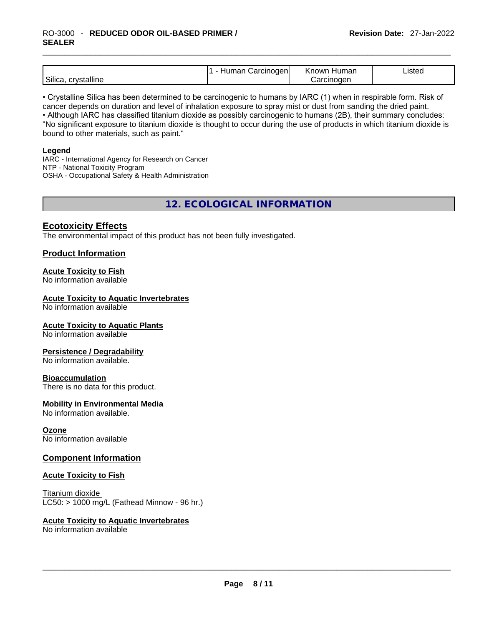# \_\_\_\_\_\_\_\_\_\_\_\_\_\_\_\_\_\_\_\_\_\_\_\_\_\_\_\_\_\_\_\_\_\_\_\_\_\_\_\_\_\_\_\_\_\_\_\_\_\_\_\_\_\_\_\_\_\_\_\_\_\_\_\_\_\_\_\_\_\_\_\_\_\_\_\_\_\_\_\_\_\_\_\_\_\_\_\_\_\_\_\_\_ RO-3000 - **REDUCED ODOR OIL-BASED PRIMER / SEALER**

|                           | Carcinogen<br>Human | Known<br>Human        | <b>istec</b> |
|---------------------------|---------------------|-----------------------|--------------|
| Silica<br><br>crystalline |                     | ıoaen<br>an t<br>udi. |              |

• Crystalline Silica has been determined to be carcinogenic to humans by IARC (1) when in respirable form. Risk of cancer depends on duration and level of inhalation exposure to spray mist or dust from sanding the dried paint.• Although IARC has classified titanium dioxide as possibly carcinogenic to humans (2B), their summary concludes: "No significant exposure to titanium dioxide is thought to occur during the use of products in which titanium dioxide is bound to other materials, such as paint."

### **Legend**

IARC - International Agency for Research on Cancer NTP - National Toxicity Program OSHA - Occupational Safety & Health Administration

**12. ECOLOGICAL INFORMATION** 

# **Ecotoxicity Effects**

The environmental impact of this product has not been fully investigated.

# **Product Information**

# **Acute Toxicity to Fish**

No information available

# **Acute Toxicity to Aquatic Invertebrates**

No information available

# **Acute Toxicity to Aquatic Plants**

No information available

# **Persistence / Degradability**

No information available.

# **Bioaccumulation**

There is no data for this product.

# **Mobility in Environmental Media**

No information available.

# **Ozone**

No information available

# **Component Information**

# **Acute Toxicity to Fish**

Titanium dioxide  $LC50:$  > 1000 mg/L (Fathead Minnow - 96 hr.)

# **Acute Toxicity to Aquatic Invertebrates**

No information available \_\_\_\_\_\_\_\_\_\_\_\_\_\_\_\_\_\_\_\_\_\_\_\_\_\_\_\_\_\_\_\_\_\_\_\_\_\_\_\_\_\_\_\_\_\_\_\_\_\_\_\_\_\_\_\_\_\_\_\_\_\_\_\_\_\_\_\_\_\_\_\_\_\_\_\_\_\_\_\_\_\_\_\_\_\_\_\_\_\_\_\_\_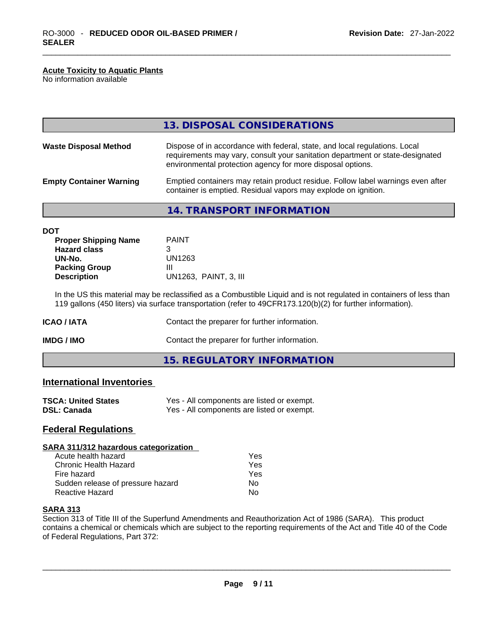### **Acute Toxicity to Aquatic Plants**

No information available

|                                | 13. DISPOSAL CONSIDERATIONS                                                                                                                                                                                               |
|--------------------------------|---------------------------------------------------------------------------------------------------------------------------------------------------------------------------------------------------------------------------|
| <b>Waste Disposal Method</b>   | Dispose of in accordance with federal, state, and local regulations. Local<br>requirements may vary, consult your sanitation department or state-designated<br>environmental protection agency for more disposal options. |
| <b>Empty Container Warning</b> | Emptied containers may retain product residue. Follow label warnings even after<br>container is emptied. Residual vapors may explode on ignition.                                                                         |

# **14. TRANSPORT INFORMATION**

| DOT                         |                       |  |
|-----------------------------|-----------------------|--|
| <b>Proper Shipping Name</b> | <b>PAINT</b>          |  |
| <b>Hazard class</b>         | 3                     |  |
| UN-No.                      | UN1263                |  |
| <b>Packing Group</b>        | Ш                     |  |
| <b>Description</b>          | UN1263. PAINT, 3. III |  |
|                             |                       |  |

In the US this material may be reclassified as a Combustible Liquid and is not regulated in containers of less than 119 gallons (450 liters) via surface transportation (refer to 49CFR173.120(b)(2) for further information).

| ICAO / IATA | Contact the preparer for further information. |
|-------------|-----------------------------------------------|
| IMDG / IMO  | Contact the preparer for further information. |
|             | 15. REGULATORY INFORMATION                    |

# **International Inventories**

| <b>TSCA: United States</b> | Yes - All components are listed or exempt. |
|----------------------------|--------------------------------------------|
| <b>DSL: Canada</b>         | Yes - All components are listed or exempt. |

# **Federal Regulations**

### **SARA 311/312 hazardous categorization**

| Acute health hazard               | Yes |  |
|-----------------------------------|-----|--|
| Chronic Health Hazard             | Yes |  |
| Fire hazard                       | Yes |  |
| Sudden release of pressure hazard | No  |  |
| Reactive Hazard                   | N٥  |  |

### **SARA 313**

Section 313 of Title III of the Superfund Amendments and Reauthorization Act of 1986 (SARA). This product contains a chemical or chemicals which are subject to the reporting requirements of the Act and Title 40 of the Code of Federal Regulations, Part 372: \_\_\_\_\_\_\_\_\_\_\_\_\_\_\_\_\_\_\_\_\_\_\_\_\_\_\_\_\_\_\_\_\_\_\_\_\_\_\_\_\_\_\_\_\_\_\_\_\_\_\_\_\_\_\_\_\_\_\_\_\_\_\_\_\_\_\_\_\_\_\_\_\_\_\_\_\_\_\_\_\_\_\_\_\_\_\_\_\_\_\_\_\_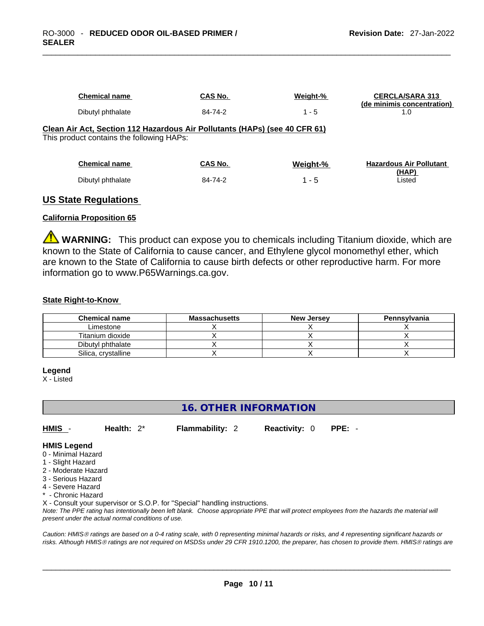| CAS No. | Weight-%                                             | <b>CERCLA/SARA 313</b><br>(de minimis concentration)                       |
|---------|------------------------------------------------------|----------------------------------------------------------------------------|
| 84-74-2 | $1 - 5$                                              | 1.0                                                                        |
|         |                                                      |                                                                            |
| CAS No. | Weight-%                                             | <b>Hazardous Air Pollutant</b>                                             |
|         |                                                      | (HAP)                                                                      |
|         | This product contains the following HAPs:<br>84-74-2 | Clean Air Act, Section 112 Hazardous Air Pollutants (HAPs) (see 40 CFR 61) |

# **US State Regulations**

### **California Proposition 65**

**WARNING:** This product can expose you to chemicals including Titanium dioxide, which are known to the State of California to cause cancer, and Ethylene glycol monomethyl ether, which are known to the State of California to cause birth defects or other reproductive harm. For more information go to www.P65Warnings.ca.gov.

### **State Right-to-Know**

| <b>Chemical name</b> | Massachusetts | <b>New Jersey</b> | Pennsylvania |
|----------------------|---------------|-------------------|--------------|
| Limestone            |               |                   |              |
| Titanium dioxide     |               |                   |              |
| Dibutyl phthalate    |               |                   |              |
| Silica, crystalline  |               |                   |              |

### **Legend**

X - Listed

# **16. OTHER INFORMATION**

**HMIS** - **Health:** 2\* **Flammability:** 2 **Reactivity:** 0 **PPE:** -

### **HMIS Legend**

- 0 Minimal Hazard
- 1 Slight Hazard
- 2 Moderate Hazard
- 3 Serious Hazard
- 4 Severe Hazard
- \* Chronic Hazard

X - Consult your supervisor or S.O.P. for "Special" handling instructions.

Note: The PPE rating has intentionally been left blank. Choose appropriate PPE that will protect employees from the hazards the material will *present under the actual normal conditions of use.* 

*Caution: HMISÒ ratings are based on a 0-4 rating scale, with 0 representing minimal hazards or risks, and 4 representing significant hazards or risks. Although HMISÒ ratings are not required on MSDSs under 29 CFR 1910.1200, the preparer, has chosen to provide them. HMISÒ ratings are*